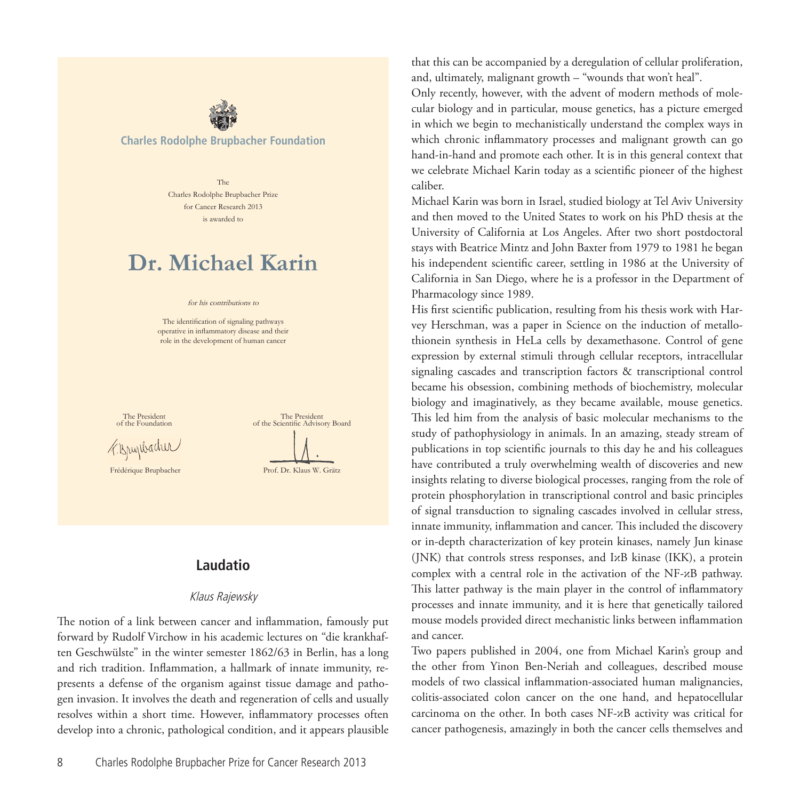

The Charles Rodolphe Brupbacher Prize for Cancer Research 2013 is awarded to

# **Dr. Michael Karin**

#### for his contributions to

The identification of signaling pathways operative in inflammatory disease and their role in the development of human cancer



# **Laudatio**

#### Klaus Rajewsky

The notion of a link between cancer and inflammation, famously put forward by Rudolf Virchow in his academic lectures on "die krankhaften Geschwülste" in the winter semester 1862/63 in Berlin, has a long and rich tradition. Inflammation, a hallmark of innate immunity, represents a defense of the organism against tissue damage and pathogen invasion. It involves the death and regeneration of cells and usually resolves within a short time. However, inflammatory processes often develop into a chronic, pathological condition, and it appears plausible

8 Charles Rodolphe Brupbacher Prize for Cancer Research 2013

that this can be accompanied by a deregulation of cellular proliferation, and, ultimately, malignant growth – "wounds that won't heal".

Only recently, however, with the advent of modern methods of molecular biology and in particular, mouse genetics, has a picture emerged in which we begin to mechanistically understand the complex ways in which chronic inflammatory processes and malignant growth can go hand-in-hand and promote each other. It is in this general context that we celebrate Michael Karin today as a scientific pioneer of the highest caliber.

Michael Karin was born in Israel, studied biology at Tel Aviv University and then moved to the United States to work on his PhD thesis at the University of California at Los Angeles. After two short postdoctoral stays with Beatrice Mintz and John Baxter from 1979 to 1981 he began his independent scientific career, settling in 1986 at the University of California in San Diego, where he is a professor in the Department of Pharmacology since 1989.

His first scientific publication, resulting from his thesis work with Harvey Herschman, was a paper in Science on the induction of metallothionein synthesis in HeLa cells by dexamethasone. Control of gene expression by external stimuli through cellular receptors, intracellular signaling cascades and transcription factors & transcriptional control became his obsession, combining methods of biochemistry, molecular biology and imaginatively, as they became available, mouse genetics. This led him from the analysis of basic molecular mechanisms to the study of pathophysiology in animals. In an amazing, steady stream of publications in top scientific journals to this day he and his colleagues have contributed a truly overwhelming wealth of discoveries and new insights relating to diverse biological processes, ranging from the role of protein phosphorylation in transcriptional control and basic principles of signal transduction to signaling cascades involved in cellular stress, innate immunity, inflammation and cancer. This included the discovery or in-depth characterization of key protein kinases, namely Jun kinase (JNK) that controls stress responses, and IκB kinase (IKK), a protein complex with a central role in the activation of the NF-κB pathway. This latter pathway is the main player in the control of inflammatory processes and innate immunity, and it is here that genetically tailored mouse models provided direct mechanistic links between inflammation and cancer.

Two papers published in 2004, one from Michael Karin's group and the other from Yinon Ben-Neriah and colleagues, described mouse models of two classical inflammation-associated human malignancies, colitis-associated colon cancer on the one hand, and hepatocellular carcinoma on the other. In both cases NF-κB activity was critical for cancer pathogenesis, amazingly in both the cancer cells themselves and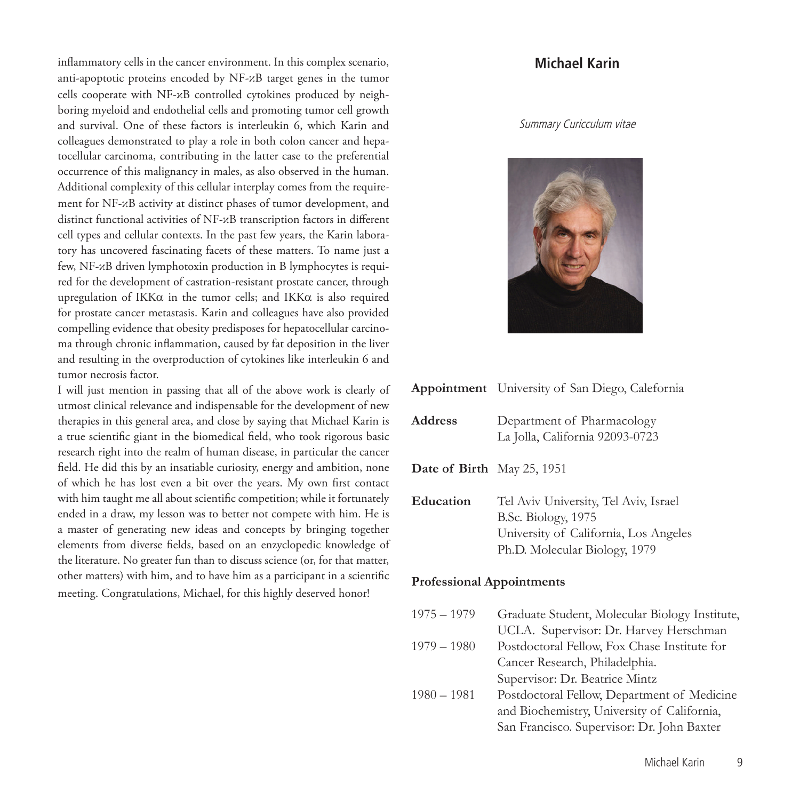inflammatory cells in the cancer environment. In this complex scenario, anti-apoptotic proteins encoded by NF-κB target genes in the tumor cells cooperate with NF-κB controlled cytokines produced by neighboring myeloid and endothelial cells and promoting tumor cell growth and survival. One of these factors is interleukin 6, which Karin and colleagues demonstrated to play a role in both colon cancer and hepatocellular carcinoma, contributing in the latter case to the preferential occurrence of this malignancy in males, as also observed in the human. Additional complexity of this cellular interplay comes from the requirement for NF-κB activity at distinct phases of tumor development, and distinct functional activities of NF-κB transcription factors in different cell types and cellular contexts. In the past few years, the Karin laboratory has uncovered fascinating facets of these matters. To name just a few, NF-κB driven lymphotoxin production in B lymphocytes is required for the development of castration-resistant prostate cancer, through upregulation of IKKα in the tumor cells; and IKKα is also required for prostate cancer metastasis. Karin and colleagues have also provided compelling evidence that obesity predisposes for hepatocellular carcinoma through chronic inflammation, caused by fat deposition in the liver and resulting in the overproduction of cytokines like interleukin 6 and tumor necrosis factor.

I will just mention in passing that all of the above work is clearly of utmost clinical relevance and indispensable for the development of new therapies in this general area, and close by saying that Michael Karin is a true scientific giant in the biomedical field, who took rigorous basic research right into the realm of human disease, in particular the cancer field. He did this by an insatiable curiosity, energy and ambition, none of which he has lost even a bit over the years. My own first contact with him taught me all about scientific competition; while it fortunately ended in a draw, my lesson was to better not compete with him. He is a master of generating new ideas and concepts by bringing together elements from diverse fields, based on an enzyclopedic knowledge of the literature. No greater fun than to discuss science (or, for that matter, other matters) with him, and to have him as a participant in a scientific meeting. Congratulations, Michael, for this highly deserved honor!

# **Michael Karin**

#### Summary Curicculum vitae



|                                   | Appointment University of San Diego, Calefornia                                                                                        |  |  |
|-----------------------------------|----------------------------------------------------------------------------------------------------------------------------------------|--|--|
| <b>Address</b>                    | Department of Pharmacology<br>La Jolla, California 92093-0723                                                                          |  |  |
| <b>Date of Birth</b> May 25, 1951 |                                                                                                                                        |  |  |
| Education                         | Tel Aviv University, Tel Aviv, Israel<br>B.Sc. Biology, 1975<br>University of California, Los Angeles<br>Ph.D. Molecular Biology, 1979 |  |  |
| <b>Professional Appointments</b>  |                                                                                                                                        |  |  |

| $1975 - 1979$ | Graduate Student, Molecular Biology Institute, |
|---------------|------------------------------------------------|
|               | UCLA. Supervisor: Dr. Harvey Herschman         |
| $1979 - 1980$ | Postdoctoral Fellow, Fox Chase Institute for   |
|               | Cancer Research, Philadelphia.                 |
|               | Supervisor: Dr. Beatrice Mintz                 |
| $1980 - 1981$ | Postdoctoral Fellow, Department of Medicine    |
|               | and Biochemistry, University of California,    |
|               | San Francisco. Supervisor: Dr. John Baxter     |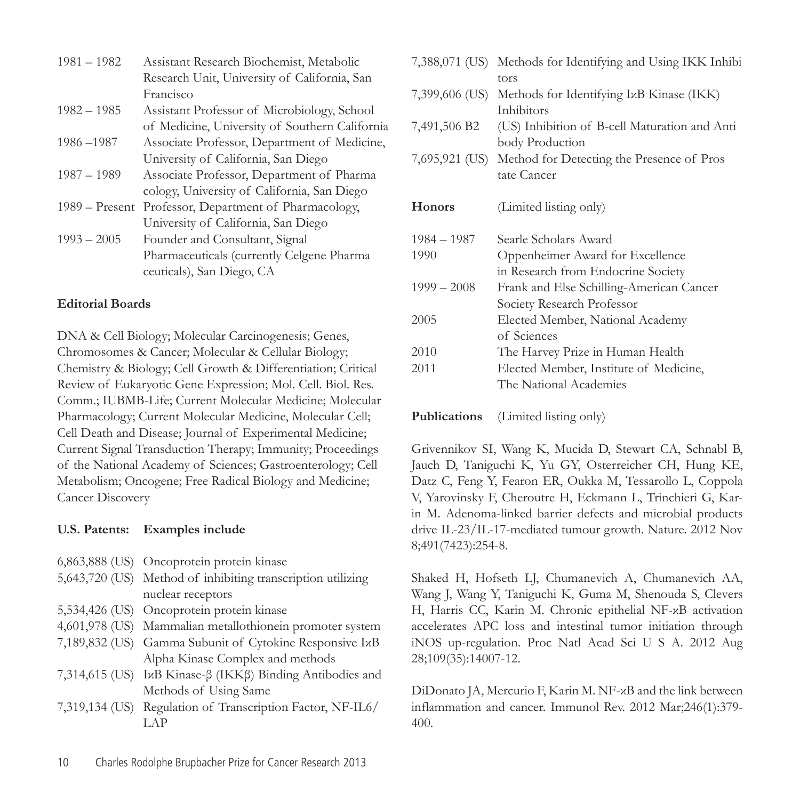| $1981 - 1982$    | Assistant Research Biochemist, Metabolic       |
|------------------|------------------------------------------------|
|                  | Research Unit, University of California, San   |
|                  | Francisco                                      |
| $1982 - 1985$    | Assistant Professor of Microbiology, School    |
|                  | of Medicine, University of Southern California |
| 1986-1987        | Associate Professor, Department of Medicine,   |
|                  | University of California, San Diego            |
| $1987 - 1989$    | Associate Professor, Department of Pharma      |
|                  | cology, University of California, San Diego    |
| $1989 -$ Present | Professor, Department of Pharmacology,         |
|                  | University of California, San Diego            |
| $1993 - 2005$    | Founder and Consultant, Signal                 |
|                  | Pharmaceuticals (currently Celgene Pharma      |
|                  | ceuticals), San Diego, CA                      |
|                  |                                                |

# **Editorial Boards**

DNA & Cell Biology; Molecular Carcinogenesis; Genes, Chromosomes & Cancer; Molecular & Cellular Biology; Chemistry & Biology; Cell Growth & Differentiation; Critical Review of Eukaryotic Gene Expression; Mol. Cell. Biol. Res. Comm.; IUBMB-Life; Current Molecular Medicine; Molecular Pharmacology; Current Molecular Medicine, Molecular Cell; Cell Death and Disease; Journal of Experimental Medicine; Current Signal Transduction Therapy; Immunity; Proceedings of the National Academy of Sciences; Gastroenterology; Cell Metabolism; Oncogene; Free Radical Biology and Medicine; Cancer Discovery

# **U.S. Patents: Examples include**

|  |  |  | 6,863,888 (US) Oncoprotein protein kinase |  |  |
|--|--|--|-------------------------------------------|--|--|
|--|--|--|-------------------------------------------|--|--|

- 5,643,720 (US) Method of inhibiting transcription utilizing nuclear receptors
- 5,534,426 (US) Oncoprotein protein kinase
- 4,601,978 (US) Mammalian metallothionein promoter system
- 7,189,832 (US) Gamma Subunit of Cytokine Responsive IκB Alpha Kinase Complex and methods
- 7,314,615 (US) IκB Kinase-β (IKKβ) Binding Antibodies and Methods of Using Same
- 7,319,134 (US) Regulation of Transcription Factor, NF-IL6/ LAP

|               | 7,388,071 (US) Methods for Identifying and Using IKK Inhibi<br>tors           |
|---------------|-------------------------------------------------------------------------------|
|               | 7,399,606 (US) Methods for Identifying IxB Kinase (IKK)<br>Inhibitors         |
|               | 7,491,506 B2 (US) Inhibition of B-cell Maturation and Anti<br>body Production |
|               | 7,695,921 (US) Method for Detecting the Presence of Pros<br>tate Cancer       |
| <b>Honors</b> | (Limited listing only)                                                        |
| $1984 - 1987$ | Searle Scholars Award                                                         |
| 1990          | Oppenheimer Award for Excellence                                              |
|               | in Research from Endocrine Society                                            |
| $1999 - 2008$ | Frank and Else Schilling-American Cancer                                      |
|               | Society Research Professor                                                    |
| 2005          | Elected Member, National Academy                                              |
|               | of Sciences                                                                   |
| 2010          | The Harvey Prize in Human Health                                              |
| 2011          | Elected Member, Institute of Medicine,                                        |
|               | The National Academies                                                        |
|               |                                                                               |

**Publications** (Limited listing only)

Grivennikov SI, Wang K, Mucida D, Stewart CA, Schnabl B, Jauch D, Taniguchi K, Yu GY, Osterreicher CH, Hung KE, Datz C, Feng Y, Fearon ER, Oukka M, Tessarollo L, Coppola V, Yarovinsky F, Cheroutre H, Eckmann L, Trinchieri G, Karin M. Adenoma-linked barrier defects and microbial products drive IL-23/IL-17-mediated tumour growth. Nature. 2012 Nov 8;491(7423):254-8.

Shaked H, Hofseth LJ, Chumanevich A, Chumanevich AA, Wang J, Wang Y, Taniguchi K, Guma M, Shenouda S, Clevers H, Harris CC, Karin M. Chronic epithelial NF-κB activation accelerates APC loss and intestinal tumor initiation through iNOS up-regulation. Proc Natl Acad Sci U S A. 2012 Aug 28;109(35):14007-12.

DiDonato JA, Mercurio F, Karin M. NF-κB and the link between inflammation and cancer. Immunol Rev. 2012 Mar;246(1):379- 400.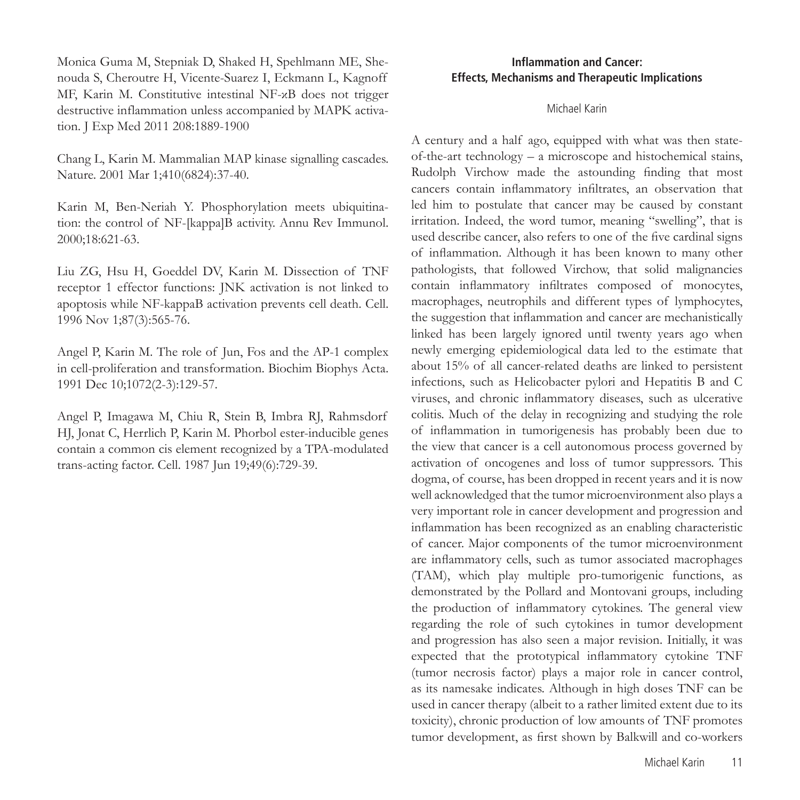Monica Guma M, Stepniak D, Shaked H, Spehlmann ME, Shenouda S, Cheroutre H, Vicente-Suarez I, Eckmann L, Kagnoff MF, Karin M. Constitutive intestinal NF-κB does not trigger destructive inflammation unless accompanied by MAPK activation. J Exp Med 2011 208:1889-1900

Chang L, Karin M. Mammalian MAP kinase signalling cascades. Nature. 2001 Mar 1;410(6824):37-40.

Karin M, Ben-Neriah Y. Phosphorylation meets ubiquitination: the control of NF-[kappa]B activity. Annu Rev Immunol. 2000;18:621-63.

Liu ZG, Hsu H, Goeddel DV, Karin M. Dissection of TNF receptor 1 effector functions: JNK activation is not linked to apoptosis while NF-kappaB activation prevents cell death. Cell. 1996 Nov 1;87(3):565-76.

Angel P, Karin M. The role of Jun, Fos and the AP-1 complex in cell-proliferation and transformation. Biochim Biophys Acta. 1991 Dec 10;1072(2-3):129-57.

Angel P, Imagawa M, Chiu R, Stein B, Imbra RJ, Rahmsdorf HJ, Jonat C, Herrlich P, Karin M. Phorbol ester-inducible genes contain a common cis element recognized by a TPA-modulated trans-acting factor. Cell. 1987 Jun 19;49(6):729-39.

# **Inflammation and Cancer: Effects, Mechanisms and Therapeutic Implications**

#### Michael Karin

A century and a half ago, equipped with what was then stateof-the-art technology – a microscope and histochemical stains, Rudolph Virchow made the astounding finding that most cancers contain inflammatory infiltrates, an observation that led him to postulate that cancer may be caused by constant irritation. Indeed, the word tumor, meaning "swelling", that is used describe cancer, also refers to one of the five cardinal signs of inflammation. Although it has been known to many other pathologists, that followed Virchow, that solid malignancies contain inflammatory infiltrates composed of monocytes, macrophages, neutrophils and different types of lymphocytes, the suggestion that inflammation and cancer are mechanistically linked has been largely ignored until twenty years ago when newly emerging epidemiological data led to the estimate that about 15% of all cancer-related deaths are linked to persistent infections, such as Helicobacter pylori and Hepatitis B and C viruses, and chronic inflammatory diseases, such as ulcerative colitis. Much of the delay in recognizing and studying the role of inflammation in tumorigenesis has probably been due to the view that cancer is a cell autonomous process governed by activation of oncogenes and loss of tumor suppressors. This dogma, of course, has been dropped in recent years and it is now well acknowledged that the tumor microenvironment also plays a very important role in cancer development and progression and inflammation has been recognized as an enabling characteristic of cancer. Major components of the tumor microenvironment are inflammatory cells, such as tumor associated macrophages (TAM), which play multiple pro-tumorigenic functions, as demonstrated by the Pollard and Montovani groups, including the production of inflammatory cytokines. The general view regarding the role of such cytokines in tumor development and progression has also seen a major revision. Initially, it was expected that the prototypical inflammatory cytokine TNF (tumor necrosis factor) plays a major role in cancer control, as its namesake indicates. Although in high doses TNF can be used in cancer therapy (albeit to a rather limited extent due to its toxicity), chronic production of low amounts of TNF promotes tumor development, as first shown by Balkwill and co-workers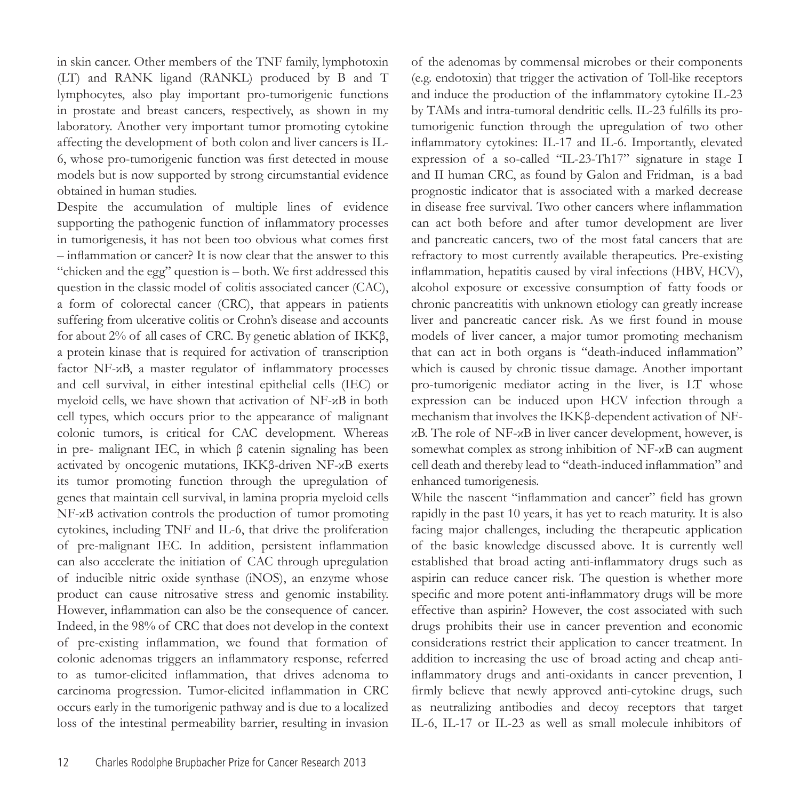in skin cancer. Other members of the TNF family, lymphotoxin (LT) and RANK ligand (RANKL) produced by B and T lymphocytes, also play important pro-tumorigenic functions in prostate and breast cancers, respectively, as shown in my laboratory. Another very important tumor promoting cytokine affecting the development of both colon and liver cancers is IL-6, whose pro-tumorigenic function was first detected in mouse models but is now supported by strong circumstantial evidence obtained in human studies.

Despite the accumulation of multiple lines of evidence supporting the pathogenic function of inflammatory processes in tumorigenesis, it has not been too obvious what comes first – inflammation or cancer? It is now clear that the answer to this "chicken and the egg" question is – both. We first addressed this question in the classic model of colitis associated cancer (CAC), a form of colorectal cancer (CRC), that appears in patients suffering from ulcerative colitis or Crohn's disease and accounts for about 2% of all cases of CRC. By genetic ablation of IKKβ, a protein kinase that is required for activation of transcription factor NF-κB, a master regulator of inflammatory processes and cell survival, in either intestinal epithelial cells (IEC) or myeloid cells, we have shown that activation of NF-κB in both cell types, which occurs prior to the appearance of malignant colonic tumors, is critical for CAC development. Whereas in pre- malignant IEC, in which β catenin signaling has been activated by oncogenic mutations, IKKβ-driven NF-κB exerts its tumor promoting function through the upregulation of genes that maintain cell survival, in lamina propria myeloid cells NF-κB activation controls the production of tumor promoting cytokines, including TNF and IL-6, that drive the proliferation of pre-malignant IEC. In addition, persistent inflammation can also accelerate the initiation of CAC through upregulation of inducible nitric oxide synthase (iNOS), an enzyme whose product can cause nitrosative stress and genomic instability. However, inflammation can also be the consequence of cancer. Indeed, in the 98% of CRC that does not develop in the context of pre-existing inflammation, we found that formation of colonic adenomas triggers an inflammatory response, referred to as tumor-elicited inflammation, that drives adenoma to carcinoma progression. Tumor-elicited inflammation in CRC occurs early in the tumorigenic pathway and is due to a localized loss of the intestinal permeability barrier, resulting in invasion

of the adenomas by commensal microbes or their components (e.g. endotoxin) that trigger the activation of Toll-like receptors and induce the production of the inflammatory cytokine IL-23 by TAMs and intra-tumoral dendritic cells. IL-23 fulfills its protumorigenic function through the upregulation of two other inflammatory cytokines: IL-17 and IL-6. Importantly, elevated expression of a so-called "IL-23-Th17" signature in stage I and II human CRC, as found by Galon and Fridman, is a bad prognostic indicator that is associated with a marked decrease in disease free survival. Two other cancers where inflammation can act both before and after tumor development are liver and pancreatic cancers, two of the most fatal cancers that are refractory to most currently available therapeutics. Pre-existing inflammation, hepatitis caused by viral infections (HBV, HCV), alcohol exposure or excessive consumption of fatty foods or chronic pancreatitis with unknown etiology can greatly increase liver and pancreatic cancer risk. As we first found in mouse models of liver cancer, a major tumor promoting mechanism that can act in both organs is "death-induced inflammation" which is caused by chronic tissue damage. Another important pro-tumorigenic mediator acting in the liver, is LT whose expression can be induced upon HCV infection through a mechanism that involves the IKKβ-dependent activation of NFκB. The role of NF-κB in liver cancer development, however, is somewhat complex as strong inhibition of NF-κB can augment cell death and thereby lead to "death-induced inflammation" and enhanced tumorigenesis.

While the nascent "inflammation and cancer" field has grown rapidly in the past 10 years, it has yet to reach maturity. It is also facing major challenges, including the therapeutic application of the basic knowledge discussed above. It is currently well established that broad acting anti-inflammatory drugs such as aspirin can reduce cancer risk. The question is whether more specific and more potent anti-inflammatory drugs will be more effective than aspirin? However, the cost associated with such drugs prohibits their use in cancer prevention and economic considerations restrict their application to cancer treatment. In addition to increasing the use of broad acting and cheap antiinflammatory drugs and anti-oxidants in cancer prevention, I firmly believe that newly approved anti-cytokine drugs, such as neutralizing antibodies and decoy receptors that target IL-6, IL-17 or IL-23 as well as small molecule inhibitors of